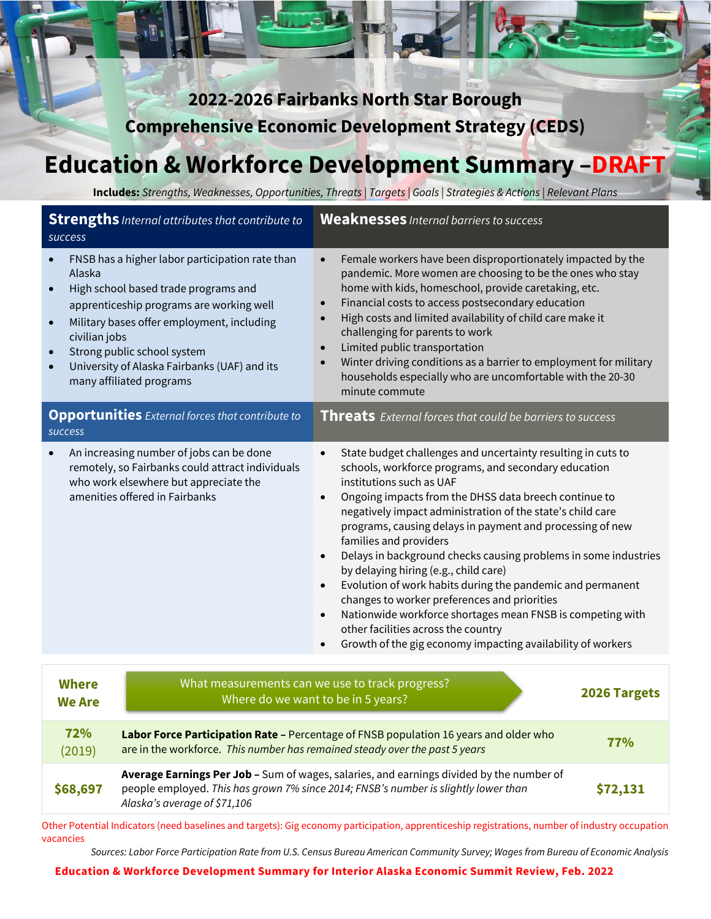**2022-2026 Fairbanks North Star Borough Comprehensive Economic Development Strategy (CEDS)** 

# **Education & Workforce Development Summary –DRAFT**

**Includes:** *Strengths, Weaknesses, Opportunities, Threats | Targets | Goals | Strategies & Actions | Relevant Plans*

| <b>Strengths</b> Internal attributes that contribute to<br><b>success</b>                                                                                                                                                                                                                                                                         | <b>Weaknesses</b> Internal barriers to success                                                                                                                                                                                                                                                                                                                                                                                                                                                                                                                                                                                                                                                                                                                                                                                             |  |
|---------------------------------------------------------------------------------------------------------------------------------------------------------------------------------------------------------------------------------------------------------------------------------------------------------------------------------------------------|--------------------------------------------------------------------------------------------------------------------------------------------------------------------------------------------------------------------------------------------------------------------------------------------------------------------------------------------------------------------------------------------------------------------------------------------------------------------------------------------------------------------------------------------------------------------------------------------------------------------------------------------------------------------------------------------------------------------------------------------------------------------------------------------------------------------------------------------|--|
| FNSB has a higher labor participation rate than<br>Alaska<br>High school based trade programs and<br>$\bullet$<br>apprenticeship programs are working well<br>Military bases offer employment, including<br>$\bullet$<br>civilian jobs<br>Strong public school system<br>University of Alaska Fairbanks (UAF) and its<br>many affiliated programs | Female workers have been disproportionately impacted by the<br>$\bullet$<br>pandemic. More women are choosing to be the ones who stay<br>home with kids, homeschool, provide caretaking, etc.<br>Financial costs to access postsecondary education<br>$\bullet$<br>High costs and limited availability of child care make it<br>$\bullet$<br>challenging for parents to work<br>Limited public transportation<br>$\bullet$<br>Winter driving conditions as a barrier to employment for military<br>$\bullet$<br>households especially who are uncomfortable with the 20-30<br>minute commute                                                                                                                                                                                                                                               |  |
| <b>Opportunities</b> External forces that contribute to<br><b>success</b>                                                                                                                                                                                                                                                                         | Threats External forces that could be barriers to success                                                                                                                                                                                                                                                                                                                                                                                                                                                                                                                                                                                                                                                                                                                                                                                  |  |
| An increasing number of jobs can be done<br>$\bullet$<br>remotely, so Fairbanks could attract individuals<br>who work elsewhere but appreciate the<br>amenities offered in Fairbanks                                                                                                                                                              | State budget challenges and uncertainty resulting in cuts to<br>$\bullet$<br>schools, workforce programs, and secondary education<br>institutions such as UAF<br>Ongoing impacts from the DHSS data breech continue to<br>$\bullet$<br>negatively impact administration of the state's child care<br>programs, causing delays in payment and processing of new<br>families and providers<br>Delays in background checks causing problems in some industries<br>$\bullet$<br>by delaying hiring (e.g., child care)<br>Evolution of work habits during the pandemic and permanent<br>$\bullet$<br>changes to worker preferences and priorities<br>Nationwide workforce shortages mean FNSB is competing with<br>$\bullet$<br>other facilities across the country<br>Growth of the gig economy impacting availability of workers<br>$\bullet$ |  |
|                                                                                                                                                                                                                                                                                                                                                   |                                                                                                                                                                                                                                                                                                                                                                                                                                                                                                                                                                                                                                                                                                                                                                                                                                            |  |

| <b>Where</b><br><b>We Are</b>                                                                                                                                                                                               | What measurements can we use to track progress?<br>Where do we want to be in 5 years?                                                                                | 2026 Targets |
|-----------------------------------------------------------------------------------------------------------------------------------------------------------------------------------------------------------------------------|----------------------------------------------------------------------------------------------------------------------------------------------------------------------|--------------|
| <b>72%</b><br>(2019)                                                                                                                                                                                                        | Labor Force Participation Rate - Percentage of FNSB population 16 years and older who<br>are in the workforce. This number has remained steady over the past 5 years |              |
| Average Earnings Per Job - Sum of wages, salaries, and earnings divided by the number of<br>people employed. This has grown 7% since 2014; FNSB's number is slightly lower than<br>\$68,697<br>Alaska's average of \$71,106 |                                                                                                                                                                      | \$72,131     |

Other Potential Indicators (need baselines and targets): Gig economy participation, apprenticeship registrations, number of industry occupation vacancies

*Sources: Labor Force Participation Rate from U.S. Census Bureau American Community Survey; Wages from Bureau of Economic Analysis*

**Education & Workforce Development Summary for Interior Alaska Economic Summit Review, Feb. 2022**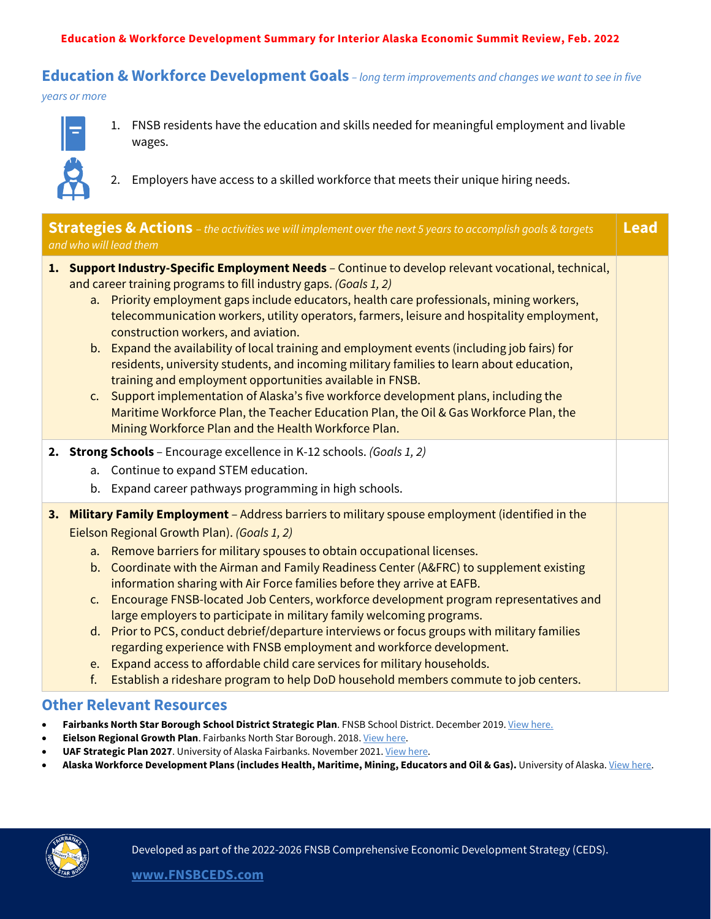#### **Education & Workforce Development Goals** *– long term improvements and changes we want to see in five*

*years or more*



1. FNSB residents have the education and skills needed for meaningful employment and livable wages.

2. Employers have access to a skilled workforce that meets their unique hiring needs.

|                                                                        | <b>Strategies &amp; Actions</b> - the activities we will implement over the next 5 years to accomplish goals & targets<br>and who will lead them                                                                                                                                                                                                                                                                                                                                                                                                                                                                                                                                                                                                                                                                                                                                                       | <b>Lead</b> |  |
|------------------------------------------------------------------------|--------------------------------------------------------------------------------------------------------------------------------------------------------------------------------------------------------------------------------------------------------------------------------------------------------------------------------------------------------------------------------------------------------------------------------------------------------------------------------------------------------------------------------------------------------------------------------------------------------------------------------------------------------------------------------------------------------------------------------------------------------------------------------------------------------------------------------------------------------------------------------------------------------|-------------|--|
| b.<br>C <sub>1</sub>                                                   | 1. Support Industry-Specific Employment Needs - Continue to develop relevant vocational, technical,<br>and career training programs to fill industry gaps. (Goals 1, 2)<br>a. Priority employment gaps include educators, health care professionals, mining workers,<br>telecommunication workers, utility operators, farmers, leisure and hospitality employment,<br>construction workers, and aviation.<br>Expand the availability of local training and employment events (including job fairs) for<br>residents, university students, and incoming military families to learn about education,<br>training and employment opportunities available in FNSB.<br>Support implementation of Alaska's five workforce development plans, including the<br>Maritime Workforce Plan, the Teacher Education Plan, the Oil & Gas Workforce Plan, the<br>Mining Workforce Plan and the Health Workforce Plan. |             |  |
| 2. Strong Schools - Encourage excellence in K-12 schools. (Goals 1, 2) |                                                                                                                                                                                                                                                                                                                                                                                                                                                                                                                                                                                                                                                                                                                                                                                                                                                                                                        |             |  |
|                                                                        | a. Continue to expand STEM education.<br>b. Expand career pathways programming in high schools.                                                                                                                                                                                                                                                                                                                                                                                                                                                                                                                                                                                                                                                                                                                                                                                                        |             |  |
|                                                                        |                                                                                                                                                                                                                                                                                                                                                                                                                                                                                                                                                                                                                                                                                                                                                                                                                                                                                                        |             |  |
| $C_{\bullet}$                                                          | 3. Military Family Employment - Address barriers to military spouse employment (identified in the<br>Eielson Regional Growth Plan). (Goals 1, 2)<br>a. Remove barriers for military spouses to obtain occupational licenses.<br>b. Coordinate with the Airman and Family Readiness Center (A&FRC) to supplement existing<br>information sharing with Air Force families before they arrive at EAFB.<br>Encourage FNSB-located Job Centers, workforce development program representatives and<br>large employers to participate in military family welcoming programs.<br>d. Prior to PCS, conduct debrief/departure interviews or focus groups with military families<br>regarding experience with FNSB employment and workforce development.<br>e. Expand access to affordable child care services for military households.                                                                           |             |  |
| f.                                                                     | Establish a rideshare program to help DoD household members commute to job centers.                                                                                                                                                                                                                                                                                                                                                                                                                                                                                                                                                                                                                                                                                                                                                                                                                    |             |  |

#### **Other Relevant Resources**

- **Fairbanks North Star Borough School District Strategic Plan**. FNSB School District. December 2019[. View here.](https://www.k12northstar.org/strategic-plan)
- **Eielson Regional Growth Plan**. Fairbanks North Star Borough. 2018[. View here.](http://www.eafbregionalgrowth.com/)
- **UAF Strategic Plan 2027**. University of Alaska Fairbanks. November 2021[. View here.](https://uaf.edu/strategic/goals.php)
- **Alaska Workforce Development Plans (includes Health, Maritime, Mining, Educators and Oil & Gas).** University of Alaska. [View here.](https://www.alaska.edu/research/wd/plans/)

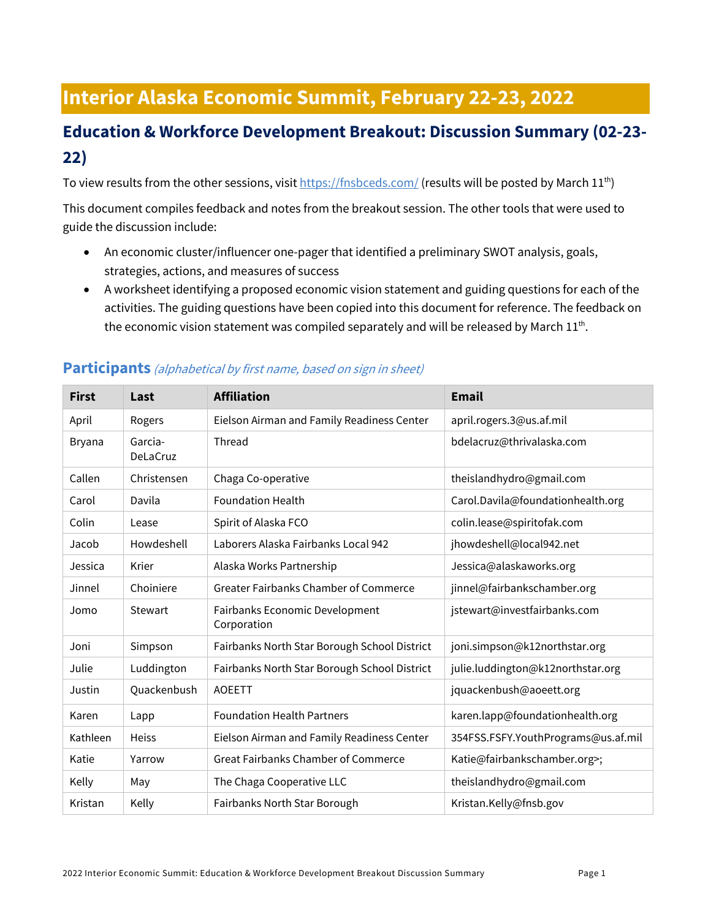## **Interior Alaska Economic Summit, February 22-23, 2022**

### **Education & Workforce Development Breakout: Discussion Summary (02-23- 22)**

To view results from the other sessions, visi[t https://fnsbceds.com/](https://fnsbceds.com/) (results will be posted by March 11<sup>th</sup>)

This document compiles feedback and notes from the breakout session. The other tools that were used to guide the discussion include:

- An economic cluster/influencer one-pager that identified a preliminary SWOT analysis, goals, strategies, actions, and measures of success
- A worksheet identifying a proposed economic vision statement and guiding questions for each of the activities. The guiding questions have been copied into this document for reference. The feedback on the economic vision statement was compiled separately and will be released by March  $11<sup>th</sup>$ .

| <b>First</b>  | Last                | <b>Affiliation</b>                            | <b>Email</b>                        |
|---------------|---------------------|-----------------------------------------------|-------------------------------------|
| April         | Rogers              | Eielson Airman and Family Readiness Center    | april.rogers.3@us.af.mil            |
| <b>Bryana</b> | Garcia-<br>DeLaCruz | Thread                                        | bdelacruz@thrivalaska.com           |
| Callen        | Christensen         | Chaga Co-operative                            | theislandhydro@gmail.com            |
| Carol         | Davila              | <b>Foundation Health</b>                      | Carol.Davila@foundationhealth.org   |
| Colin         | Lease               | Spirit of Alaska FCO                          | colin.lease@spiritofak.com          |
| Jacob         | Howdeshell          | Laborers Alaska Fairbanks Local 942           | jhowdeshell@local942.net            |
| Jessica       | Krier               | Alaska Works Partnership                      | Jessica@alaskaworks.org             |
| Jinnel        | Choiniere           | <b>Greater Fairbanks Chamber of Commerce</b>  | jinnel@fairbankschamber.org         |
| Jomo          | <b>Stewart</b>      | Fairbanks Economic Development<br>Corporation | jstewart@investfairbanks.com        |
| Joni          | Simpson             | Fairbanks North Star Borough School District  | joni.simpson@k12northstar.org       |
| Julie         | Luddington          | Fairbanks North Star Borough School District  | julie.luddington@k12northstar.org   |
| Justin        | Quackenbush         | <b>AOEETT</b>                                 | jquackenbush@aoeett.org             |
| Karen         | Lapp                | <b>Foundation Health Partners</b>             | karen.lapp@foundationhealth.org     |
| Kathleen      | <b>Heiss</b>        | Eielson Airman and Family Readiness Center    | 354FSS.FSFY.YouthPrograms@us.af.mil |
| Katie         | Yarrow              | <b>Great Fairbanks Chamber of Commerce</b>    | Katie@fairbankschamber.org>;        |
| Kelly         | May                 | The Chaga Cooperative LLC                     | theislandhydro@gmail.com            |
| Kristan       | Kelly               | Fairbanks North Star Borough                  | Kristan.Kelly@fnsb.gov              |

#### **Participants** (alphabetical by first name, based on sign in sheet)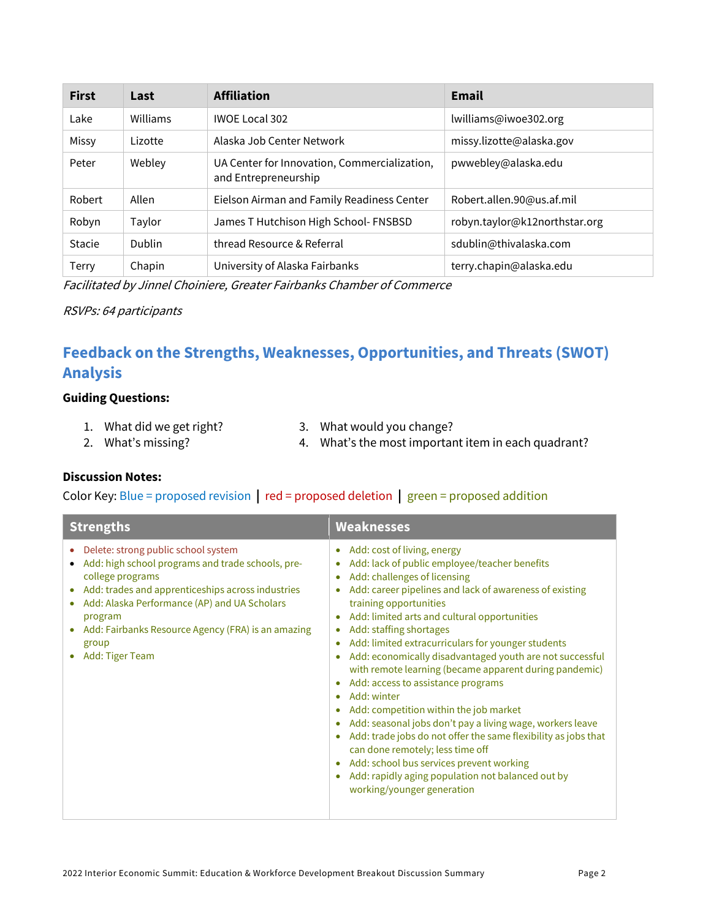| <b>First</b>  | Last     | <b>Affiliation</b>                                                   | <b>Email</b>                  |
|---------------|----------|----------------------------------------------------------------------|-------------------------------|
| Lake          | Williams | <b>IWOE Local 302</b>                                                | lwilliams@iwoe302.org         |
| <b>Missy</b>  | Lizotte  | Alaska Job Center Network                                            | missy.lizotte@alaska.gov      |
| Peter         | Webley   | UA Center for Innovation, Commercialization,<br>and Entrepreneurship | pwwebley@alaska.edu           |
| Robert        | Allen    | Eielson Airman and Family Readiness Center                           | Robert.allen.90@us.af.mil     |
| Robyn         | Taylor   | James T Hutchison High School- FNSBSD                                | robyn.taylor@k12northstar.org |
| <b>Stacie</b> | Dublin   | thread Resource & Referral                                           | sdublin@thivalaska.com        |
| Terry         | Chapin   | University of Alaska Fairbanks                                       | terry.chapin@alaska.edu       |

Facilitated by Jinnel Choiniere, Greater Fairbanks Chamber of Commerce

#### RSVPs: 64 participants

### **Feedback on the Strengths, Weaknesses, Opportunities, and Threats (SWOT) Analysis**

#### **Guiding Questions:**

- 
- 2. What's missing?
- 1. What did we get right? 3. What would you change?
	- 4. What's the most important item in each quadrant?

#### **Discussion Notes:**

Color Key: Blue = proposed revision **|** red = proposed deletion **|** green = proposed addition

| <b>Strengths</b>                                                                                                                                                                                                                                                                                               | <b>Weaknesses</b>                                                                                                                                                                                                                                                                                                                                                                                                                                                                                                                                                                                                                                                                                                                                                                                                                                                                                |
|----------------------------------------------------------------------------------------------------------------------------------------------------------------------------------------------------------------------------------------------------------------------------------------------------------------|--------------------------------------------------------------------------------------------------------------------------------------------------------------------------------------------------------------------------------------------------------------------------------------------------------------------------------------------------------------------------------------------------------------------------------------------------------------------------------------------------------------------------------------------------------------------------------------------------------------------------------------------------------------------------------------------------------------------------------------------------------------------------------------------------------------------------------------------------------------------------------------------------|
| Delete: strong public school system<br>Add: high school programs and trade schools, pre-<br>college programs<br>Add: trades and apprenticeships across industries<br>Add: Alaska Performance (AP) and UA Scholars<br>program<br>Add: Fairbanks Resource Agency (FRA) is an amazing<br>group<br>Add: Tiger Team | Add: cost of living, energy<br>$\bullet$<br>Add: lack of public employee/teacher benefits<br>Add: challenges of licensing<br>$\bullet$<br>Add: career pipelines and lack of awareness of existing<br>training opportunities<br>Add: limited arts and cultural opportunities<br>$\bullet$<br>Add: staffing shortages<br>Add: limited extracurriculars for younger students<br>Add: economically disadvantaged youth are not successful<br>with remote learning (became apparent during pandemic)<br>Add: access to assistance programs<br>Add: winter<br>Add: competition within the job market<br>Add: seasonal jobs don't pay a living wage, workers leave<br>Add: trade jobs do not offer the same flexibility as jobs that<br>can done remotely; less time off<br>Add: school bus services prevent working<br>Add: rapidly aging population not balanced out by<br>working/younger generation |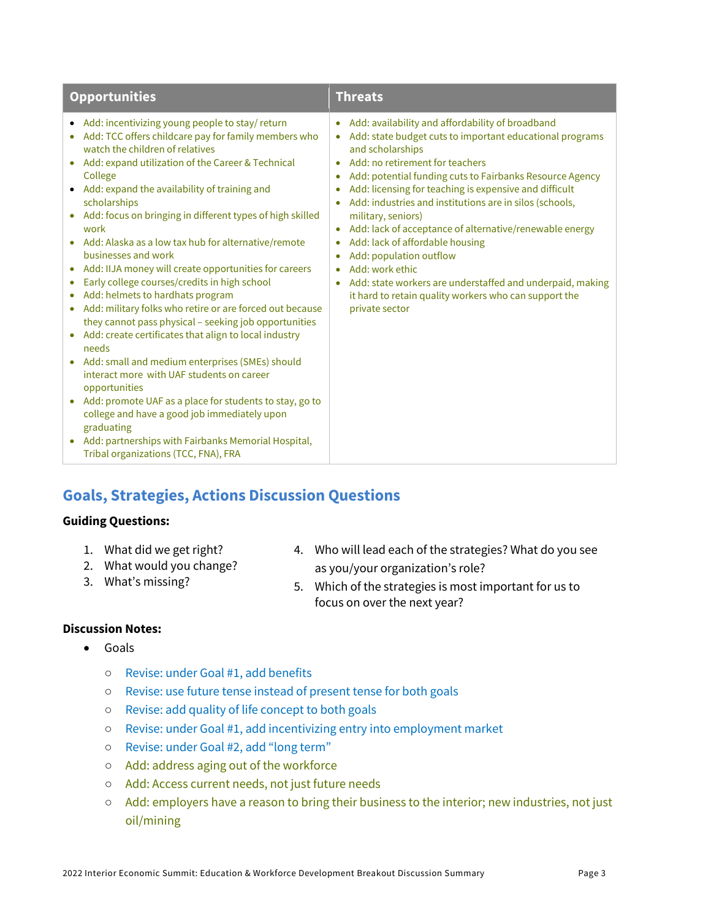#### **Opportunities Threats** • Add: incentivizing young people to stay/ return • Add: TCC offers childcare pay for family members who watch the children of relatives • Add: expand utilization of the Career & Technical College • Add: expand the availability of training and scholarships • Add: focus on bringing in different types of high skilled work • Add: Alaska as a low tax hub for alternative/remote businesses and work • Add: IIJA money will create opportunities for careers • Early college courses/credits in high school • Add: helmets to hardhats program • Add: military folks who retire or are forced out because they cannot pass physical – seeking job opportunities • Add: create certificates that align to local industry • Add: availability and affordability of broadband • Add: state budget cuts to important educational programs and scholarships • Add: no retirement for teachers • Add: potential funding cuts to Fairbanks Resource Agency • Add: licensing for teaching is expensive and difficult • Add: industries and institutions are in silos (schools, military, seniors) • Add: lack of acceptance of alternative/renewable energy • Add: lack of affordable housing • Add: population outflow • Add: work ethic • Add: state workers are understaffed and underpaid, making it hard to retain quality workers who can support the private sector

**Goals, Strategies, Actions Discussion Questions**

#### **Guiding Questions:**

needs

opportunities

graduating

- 1. What did we get right?
- 2. What would you change?

Tribal organizations (TCC, FNA), FRA

• Add: small and medium enterprises (SMEs) should interact more with UAF students on career

• Add: promote UAF as a place for students to stay, go to college and have a good job immediately upon

• Add: partnerships with Fairbanks Memorial Hospital,

3. What's missing?

- 4. Who will lead each of the strategies? What do you see as you/your organization's role?
- 5. Which of the strategies is most important for us to focus on over the next year?

#### **Discussion Notes:**

- Goals
	- Revise: under Goal #1, add benefits
	- Revise: use future tense instead of present tense for both goals
	- Revise: add quality of life concept to both goals
	- Revise: under Goal #1, add incentivizing entry into employment market
	- Revise: under Goal #2, add "long term"
	- Add: address aging out of the workforce
	- Add: Access current needs, not just future needs
	- Add: employers have a reason to bring their business to the interior; new industries, not just oil/mining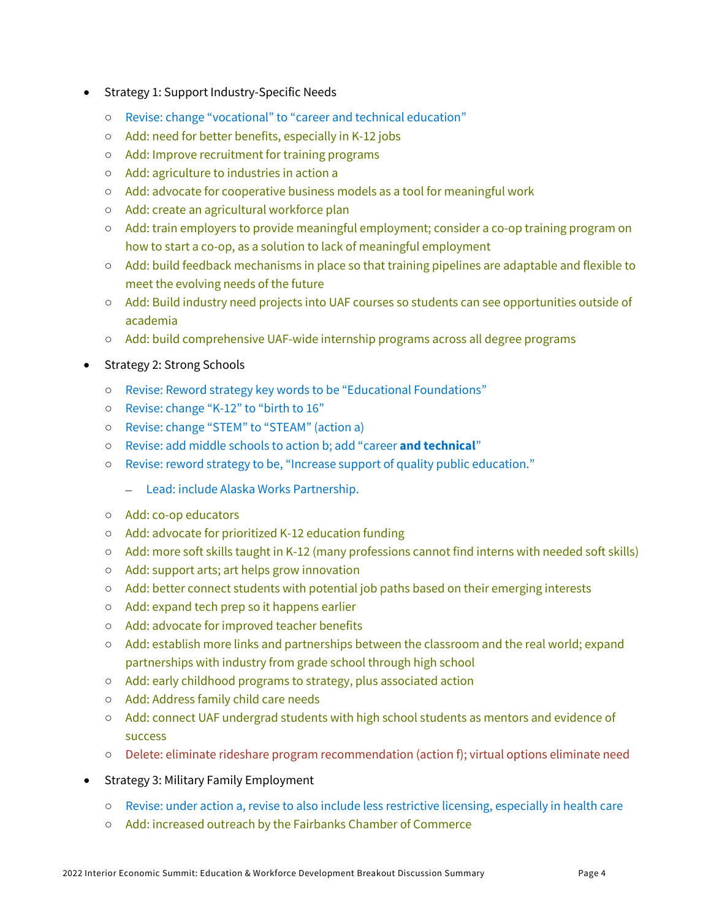- Strategy 1: Support Industry-Specific Needs
	- Revise: change "vocational" to "career and technical education"
	- Add: need for better benefits, especially in K-12 jobs
	- Add: Improve recruitment for training programs
	- Add: agriculture to industries in action a
	- Add: advocate for cooperative business models as a tool for meaningful work
	- Add: create an agricultural workforce plan
	- Add: train employers to provide meaningful employment; consider a co-op training program on how to start a co-op, as a solution to lack of meaningful employment
	- Add: build feedback mechanisms in place so that training pipelines are adaptable and flexible to meet the evolving needs of the future
	- Add: Build industry need projects into UAF courses so students can see opportunities outside of academia
	- Add: build comprehensive UAF-wide internship programs across all degree programs
- Strategy 2: Strong Schools
	- Revise: Reword strategy key words to be "Educational Foundations"
	- Revise: change "K-12" to "birth to 16"
	- Revise: change "STEM" to "STEAM" (action a)
	- Revise: add middle schools to action b; add "career **and technical**"
	- Revise: reword strategy to be, "Increase support of quality public education."
		- Lead: include Alaska Works Partnership.
	- Add: co-op educators
	- Add: advocate for prioritized K-12 education funding
	- Add: more soft skills taught in K-12 (many professions cannot find interns with needed soft skills)
	- Add: support arts; art helps grow innovation
	- Add: better connect students with potential job paths based on their emerging interests
	- Add: expand tech prep so it happens earlier
	- Add: advocate for improved teacher benefits
	- Add: establish more links and partnerships between the classroom and the real world; expand partnerships with industry from grade school through high school
	- Add: early childhood programs to strategy, plus associated action
	- Add: Address family child care needs
	- Add: connect UAF undergrad students with high school students as mentors and evidence of success
	- Delete: eliminate rideshare program recommendation (action f); virtual options eliminate need
- Strategy 3: Military Family Employment
	- Revise: under action a, revise to also include less restrictive licensing, especially in health care
	- Add: increased outreach by the Fairbanks Chamber of Commerce